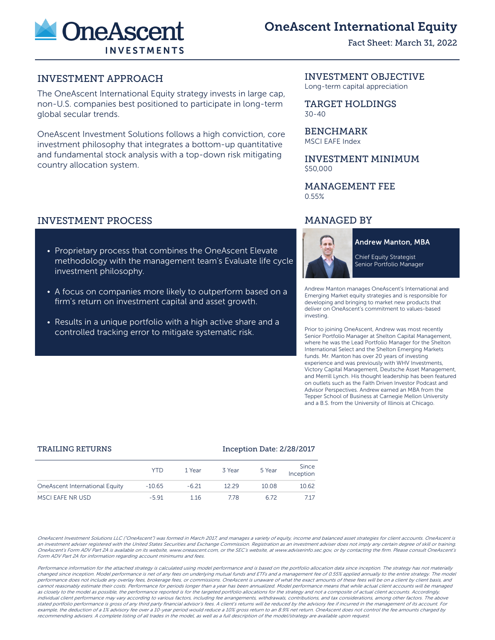

# OneAscent International Equity

Fact Sheet: March 31, 2022

# INVESTMENT APPROACH

The OneAscent International Equity strategy invests in large cap, non-U.S. companies best positioned to participate in long-term global secular trends.

OneAscent Investment Solutions follows a high conviction, core investment philosophy that integrates a bottom-up quantitative and fundamental stock analysis with a top-down risk mitigating country allocation system.

# INVESTMENT PROCESS

- Proprietary process that combines the OneAscent Elevate methodology with the management team's Evaluate life cycle investment philosophy.
- A focus on companies more likely to outperform based on a firm's return on investment capital and asset growth.
- Results in a unique portfolio with a high active share and a controlled tracking error to mitigate systematic risk.

# INVESTMENT OBJECTIVE

Long-term capital appreciation

TARGET HOLDINGS 30-40

BENCHMARK MSCI EAFE Index

INVESTMENT MINIMUM \$50,000

# MANAGEMENT FEE 0.55%

# MANAGED BY



**Andrew Manton, MBA** 

Chief Equity Strategist Senior Portfolio Manager

Andrew Manton manages OneAscent's International and Emerging Market equity strategies and is responsible for developing and bringing to market new products that deliver on OneAscent's commitment to values-based investing.

Prior to joining OneAscent, Andrew was most recently Senior Portfolio Manager at Shelton Capital Management, where he was the Lead Portfolio Manager for the Shelton International Select and the Shelton Emerging Markets funds. Mr. Manton has over 20 years of investing experience and was previously with WHV Investments, Victory Capital Management, Deutsche Asset Management, and Merrill Lynch. His thought leadership has been featured on outlets such as the Faith Driven Investor Podcast and Advisor Perspectives. Andrew earned an MBA from the Tepper School of Business at Carnegie Mellon University and a B.S. from the University of Illinois at Chicago.

### TRAILING RETURNS **Inception Date: 2/28/2017**

|                                 | YTD      | 1 Year  | 3 Year | 5 Year | Since<br>Inception |
|---------------------------------|----------|---------|--------|--------|--------------------|
| One Ascent International Equity | $-10.65$ | $-6.21$ | 12.29  | 10.08  | 10.62              |
| MSCI EAFE NR USD                | $-591$   | 116     | 778    | 6.72   | 7.17               |

OneAscent Investment Solutions LLC ("OneAscent") was formed in March 2017, and manages a variety of equity, income and balanced asset strategies for client accounts. OneAscent is an investment adviser registered with the United States Securities and Exchange Commission. Registration as an investment adviser does not imply any certain degree of skill or training. OneAscent's Form ADV Part 2A is available on its website, www.oneascent.com, or the SEC's website, at www.adviserinfo.sec.gov, or by contacting the firm. Please consult OneAscent's Form ADV Part 2A for information regarding account minimums and fees.

Performance information for the attached strategy is calculated using model performance and is based on the portfolio allocation data since inception. The strategy has not materially changed since inception. Model performance is net of any fees on underlying mutual funds and ETFs and a management fee of 0.55% applied annually to the entire strategy. The model performance does not include any overlay fees, brokerage fees, or commissions. OneAscent is unaware of what the exact amounts of these fees will be on a client by client basis, and cannot reasonably estimate their costs. Performance for periods longer than a year has been annualized. Model performance means that while actual client accounts will be managed as closely to the model as possible, the performance reported is for the targeted portfolio allocations for the strategy and not a composite of actual client accounts. Accordingly, individual client performance may vary according to various factors, including fee arrangements, withdrawals, contributions, and tax considerations, among other factors. The above stated portfolio performance is gross of any third party financial advisor's fees. A client's returns will be reduced by the advisory fee if incurred in the management of its account. For example, the deduction of a 1% advisory fee over a 10-year period would reduce a 10% gross return to an 8.9% net return. OneAscent does not control the fee amounts charged by recommending advisers. A complete listing of all trades in the model, as well as a full description of the model/strategy are available upon request.